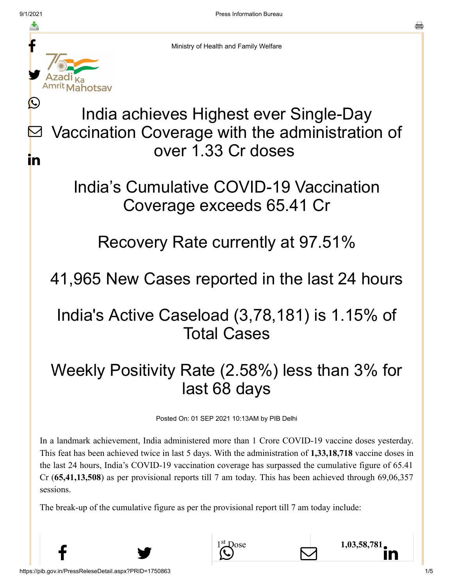f

y.

ahotsav

Ŀ

in



Ministry of Health and Family Welfare

#### India achieves Highest ever Single-Day Vaccination Coverage with the administration of over 1.33 Cr doses  $\bm{\nabla}$

#### India's Cumulative COVID-19 Vaccination Coverage exceeds 65.41 Cr

#### Recovery Rate currently at 97.51%

# 41,965 New Cases reported in the last 24 hours

# India's Active Caseload (3,78,181) is 1.15% of Total Cases

# Weekly Positivity Rate (2.58%) less than 3% for last 68 days

Posted On: 01 SEP 2021 10:13AM by PIB Delhi

In a landmark achievement, India administered more than 1 Crore COVID-19 vaccine doses yesterday. This feat has been achieved twice in last 5 days. With the administration of **1,33,18,718** vaccine doses in the last 24 hours, India's COVID-19 vaccination coverage has surpassed the cumulative figure of 65.41 Cr (**65,41,13,508**) as per provisional reports till 7 am today. This has been achieved through 69,06,357 sessions.

 $\uparrow$   $\mathcal{D}$   $\Box$   $\Box$   $\Box$   $\Box$ 

 $\sum_{s}^{st}$ Dose 1,[03,58,781](https://www.linkedin.com/shareArticle?mini=true&url=https://pib.gov.in/PressReleasePage.aspx?PRID=1750985&title=%20India%20achieves%20Highest%20ever%20Single-Day%20Vaccination%20Coverage%20with%20the%20administration%20of%20over%201.33%20Cr%20doses%20&summary=My%20favorite%20developer%20program&source=LinkedIn)

The break-up of the cumulative figure as per the provisional report till 7 am today include: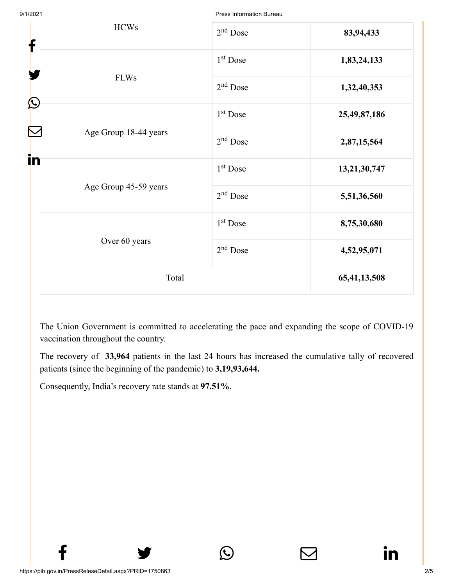Press Information Bureau

| <b>HCWs</b><br>f                                  | $2nd$ Dose           | 83,94,433    |
|---------------------------------------------------|----------------------|--------------|
|                                                   | 1 <sup>st</sup> Dose | 1,83,24,133  |
| <b>FLWs</b><br>$\bigcirc$                         | $2nd$ Dose           | 1,32,40,353  |
|                                                   | 1 <sup>st</sup> Dose | 25,49,87,186 |
| $\color{red} \sum$<br>Age Group 18-44 years<br>in | $2nd$ Dose           | 2,87,15,564  |
|                                                   | 1 <sup>st</sup> Dose | 13,21,30,747 |
| Age Group 45-59 years                             | $2nd$ Dose           | 5,51,36,560  |
|                                                   | $1st$ Dose           | 8,75,30,680  |
| Over 60 years                                     | $2nd$ Dose           | 4,52,95,071  |
| Total                                             |                      | 65,41,13,508 |

The Union Government is committed to accelerating the pace and expanding the scope of COVID-19 vaccination throughout the country.

The recovery of **33,964** patients in the last 24 hours has increased the cumulative tally of recovered patients (since the beginning of the pandemic) to **3,19,93,644.**

 $f$   $\rightarrow$   $\circ$   $\quad \circ$  in

Consequently, India's recovery rate stands at **97.51%**.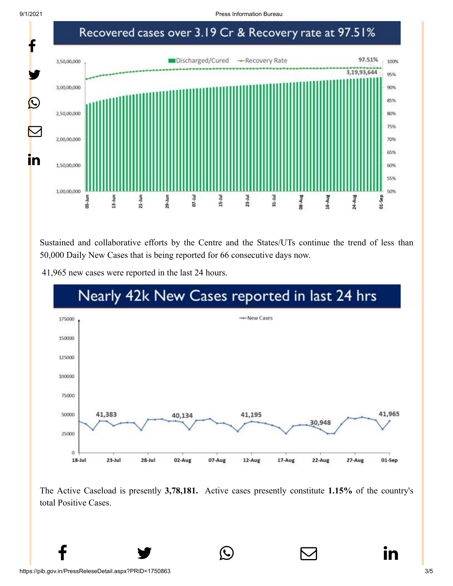9/1/2021 Press Information Bureau



Sustained and collaborative efforts by the Centre and the States/UTs continue the trend of less than 50,000 Daily New Cases that is being reported for 66 consecutive days now.

41,965 new cases were reported in the last 24 hours.



The Active Caseload is presently **3,78,181.** Active cases presently constitute **1.15%** of the country's total Positive Cases.

 $f$   $\rightarrow$   $\circ$   $\quad \circ$  in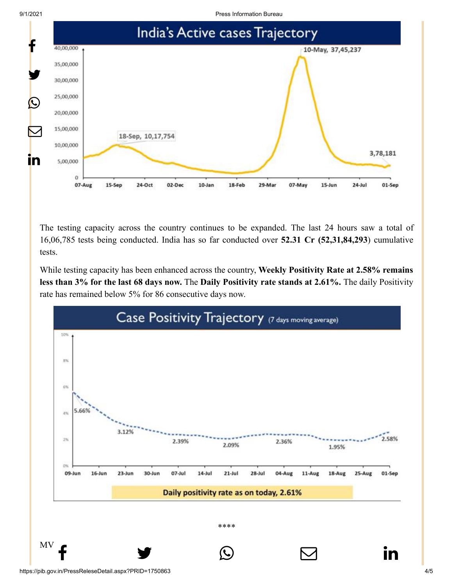

The testing capacity across the country continues to be expanded. The last 24 hours saw a total of 16,06,785 tests being conducted. India has so far conducted over **52.31 Cr (52,31,84,293**) cumulative tests.

While testing capacity has been enhanced across the country, **Weekly Positivity Rate at 2.58% remains less than 3% for the last 68 days now.** The **Daily Positivity rate stands at 2.61%.** The daily Positivity rate has remained below 5% for 86 consecutive days now.